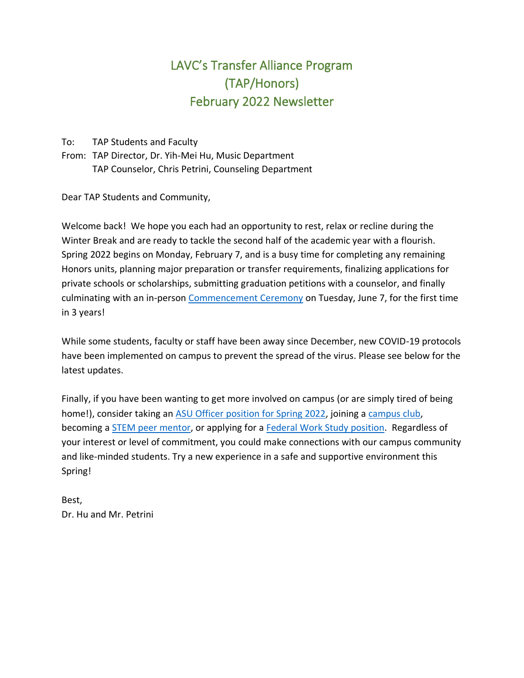### LAVC's Transfer Alliance Program (TAP/Honors) February 2022 Newsletter

To: TAP Students and Faculty

From: TAP Director, Dr. Yih-Mei Hu, Music Department TAP Counselor, Chris Petrini, Counseling Department

Dear TAP Students and Community,

Welcome back! We hope you each had an opportunity to rest, relax or recline during the Winter Break and are ready to tackle the second half of the academic year with a flourish. Spring 2022 begins on Monday, February 7, and is a busy time for completing any remaining Honors units, planning major preparation or transfer requirements, finalizing applications for private schools or scholarships, submitting graduation petitions with a counselor, and finally culminating with an in-person [Commencement Ceremony](https://www.lavc.edu/commencement/Information-for-Graduates.aspx) on Tuesday, June 7, for the first time in 3 years!

While some students, faculty or staff have been away since December, new COVID-19 protocols have been implemented on campus to prevent the spread of the virus. Please see below for the latest updates.

Finally, if you have been wanting to get more involved on campus (or are simply tired of being home!), consider taking an [ASU Officer position for Spring 2022,](https://www.lavc.edu/asu/ASU-Elections.aspx) joining a [campus club,](https://lavc.edu/asu/icc.aspx) becoming a **STEM peer mentor**, or applying for a **Federal Work Study position**. Regardless of your interest or level of commitment, you could make connections with our campus community and like-minded students. Try a new experience in a safe and supportive environment this Spring!

Best, Dr. Hu and Mr. Petrini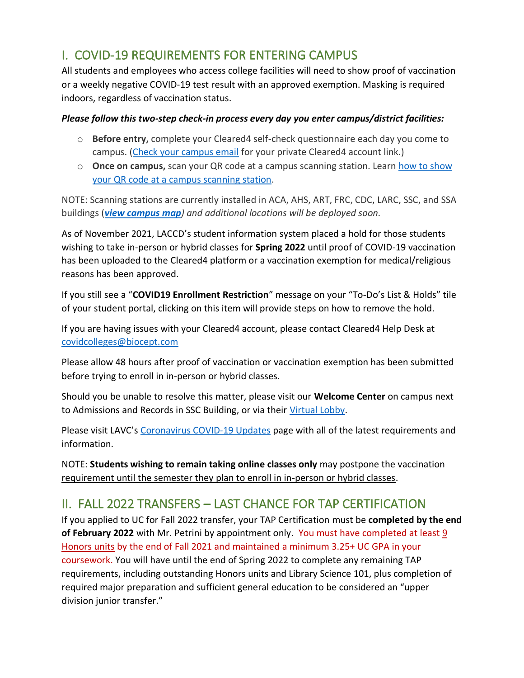#### I. COVID-19 REQUIREMENTS FOR ENTERING CAMPUS

All students and employees who access college facilities will need to show proof of vaccination or a weekly negative COVID-19 test result with an approved exemption. Masking is required indoors, regardless of vaccination status.

#### *Please follow this two-step check-in process every day you enter campus/district facilities:*

- o **Before entry,** complete your Cleared4 self-check questionnaire each day you come to campus. [\(Check your campus email](http://mycollege.laccd.edu/) for your private Cleared4 account link.)
- o **Once on campus,** scan your QR code at a campus scanning station. Learn [how to show](https://lavc.edu/Coronavirus/Vaccination-Testing.aspx#Campus-Check-In)  [your QR code at a campus scanning station.](https://lavc.edu/Coronavirus/Vaccination-Testing.aspx#Campus-Check-In)

NOTE: Scanning stations are currently installed in ACA, AHS, ART, FRC, CDC, LARC, SSC, and SSA buildings (*[view campus map](https://www.lavc.edu/about/Campus-Map.aspx)) and additional locations will be deployed soon.*

As of November 2021, LACCD's student information system placed a hold for those students wishing to take in-person or hybrid classes for **Spring 2022** until proof of COVID-19 vaccination has been uploaded to the Cleared4 platform or a vaccination exemption for medical/religious reasons has been approved.

If you still see a "**COVID19 Enrollment Restriction**" message on your "To-Do's List & Holds" tile of your student portal, clicking on this item will provide steps on how to remove the hold.

If you are having issues with your Cleared4 account, please contact Cleared4 Help Desk at [covidcolleges@biocept.com](mailto:covidcolleges@biocept.com)

Please allow 48 hours after proof of vaccination or vaccination exemption has been submitted before trying to enroll in in-person or hybrid classes.

Should you be unable to resolve this matter, please visit our **Welcome Center** on campus next to Admissions and Records in SSC Building, or via their [Virtual Lobby.](https://lavc.edu/Welcome-Center/Welcome-Center.aspx)

Please visit LAVC's [Coronavirus COVID-19 Updates](https://lavc.edu/Coronavirus/Coronavirus.aspx) page with all of the latest requirements and information.

NOTE: **Students wishing to remain taking online classes only** may postpone the vaccination requirement until the semester they plan to enroll in in-person or hybrid classes.

#### II. FALL 2022 TRANSFERS – LAST CHANCE FOR TAP CERTIFICATION

If you applied to UC for Fall 2022 transfer, your TAP Certification must be **completed by the end of February 2022** with Mr. Petrini by appointment only. You must have completed at least 9 Honors units by the end of Fall 2021 and maintained a minimum 3.25+ UC GPA in your coursework. You will have until the end of Spring 2022 to complete any remaining TAP requirements, including outstanding Honors units and Library Science 101, plus completion of required major preparation and sufficient general education to be considered an "upper division junior transfer."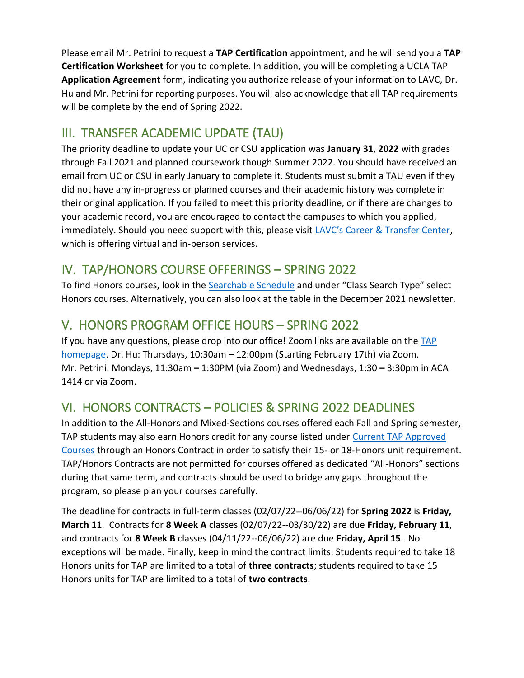Please email Mr. Petrini to request a **TAP Certification** appointment, and he will send you a **TAP Certification Worksheet** for you to complete. In addition, you will be completing a UCLA TAP **Application Agreement** form, indicating you authorize release of your information to LAVC, Dr. Hu and Mr. Petrini for reporting purposes. You will also acknowledge that all TAP requirements will be complete by the end of Spring 2022.

#### III. TRANSFER ACADEMIC UPDATE (TAU)

The priority deadline to update your UC or CSU application was **January 31, 2022** with grades through Fall 2021 and planned coursework though Summer 2022. You should have received an email from UC or CSU in early January to complete it. Students must submit a TAU even if they did not have any in-progress or planned courses and their academic history was complete in their original application. If you failed to meet this priority deadline, or if there are changes to your academic record, you are encouraged to contact the campuses to which you applied, immediately. Should you need support with this, please visit [LAVC's Career & Transfer Center](https://www.lavc.edu/transfer/index.aspx), which is offering virtual and in-person services.

#### IV. TAP/HONORS COURSE OFFERINGS – SPRING 2022

To find Honors courses, look in the [Searchable Schedule](https://mycollege-guest.laccd.edu/psc/classsearchguest/EMPLOYEE/HRMS/c/COMMUNITY_ACCESS.CLASS_SEARCH.GBL?Campus=LAVC&strm=2224) and under "Class Search Type" select Honors courses. Alternatively, you can also look at the table in the December 2021 newsletter.

#### V. HONORS PROGRAM OFFICE HOURS – SPRING 2022

If you have any questions, please drop into our office! Zoom links are available on the [TAP](https://lavc.edu/tap/index.aspx)  [homepage.](https://lavc.edu/tap/index.aspx) Dr. Hu: Thursdays, 10:30am **–** 12:00pm (Starting February 17th) via Zoom. Mr. Petrini: Mondays, 11:30am **–** 1:30PM (via Zoom) and Wednesdays, 1:30 **–** 3:30pm in ACA 1414 or via Zoom.

#### VI. HONORS CONTRACTS – POLICIES & SPRING 2022 DEADLINES

In addition to the All-Honors and Mixed-Sections courses offered each Fall and Spring semester, TAP students may also earn Honors credit for any course listed under Current TAP Approved [Courses](https://www.lavc.edu/tap/tap-curriculum.aspx) through an Honors Contract in order to satisfy their 15- or 18-Honors unit requirement. TAP/Honors Contracts are not permitted for courses offered as dedicated "All-Honors" sections during that same term, and contracts should be used to bridge any gaps throughout the program, so please plan your courses carefully.

The deadline for contracts in full-term classes (02/07/22--06/06/22) for **Spring 2022** is **Friday, March 11**. Contracts for **8 Week A** classes (02/07/22--03/30/22) are due **Friday, February 11**, and contracts for **8 Week B** classes (04/11/22--06/06/22) are due **Friday, April 15**. No exceptions will be made. Finally, keep in mind the contract limits: Students required to take 18 Honors units for TAP are limited to a total of **three contracts**; students required to take 15 Honors units for TAP are limited to a total of **two contracts**.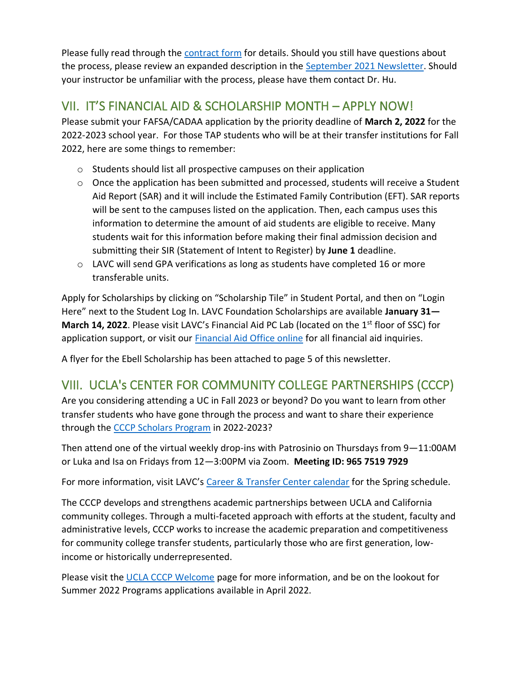Please fully read through the [contract form](https://lavc.edu/tap/document-library/TAP-Contract-Fillable-2-22.pdf) for details. Should you still have questions about the process, please review an expanded description in the [September 2021 Newsletter.](https://www.lavc.edu/tap/document-library/TAP-Newsletter-9-21.pdf) Should your instructor be unfamiliar with the process, please have them contact Dr. Hu.

#### VII. IT'S FINANCIAL AID & SCHOLARSHIP MONTH – APPLY NOW!

Please submit your FAFSA/CADAA application by the priority deadline of **March 2, 2022** for the 2022-2023 school year. For those TAP students who will be at their transfer institutions for Fall 2022, here are some things to remember:

- o Students should list all prospective campuses on their application
- o Once the application has been submitted and processed, students will receive a Student Aid Report (SAR) and it will include the Estimated Family Contribution (EFT). SAR reports will be sent to the campuses listed on the application. Then, each campus uses this information to determine the amount of aid students are eligible to receive. Many students wait for this information before making their final admission decision and submitting their SIR (Statement of Intent to Register) by **June 1** deadline.
- o LAVC will send GPA verifications as long as students have completed 16 or more transferable units.

Apply for Scholarships by clicking on "Scholarship Tile" in Student Portal, and then on "Login Here" next to the Student Log In. LAVC Foundation Scholarships are available **January 31— March 14, 2022**. Please visit LAVC's Financial Aid PC Lab (located on the 1<sup>st</sup> floor of SSC) for application support, or visit our [Financial Aid Office online](https://www.lavc.edu/financialaid/index.aspx) for all financial aid inquiries.

A flyer for the Ebell Scholarship has been attached to page 5 of this newsletter.

#### VIII. UCLA's CENTER FOR COMMUNITY COLLEGE PARTNERSHIPS (CCCP)

Are you considering attending a UC in Fall 2023 or beyond? Do you want to learn from other transfer students who have gone through the process and want to share their experience through the [CCCP Scholars Program](https://www.aap.ucla.edu/units/cccp/#scholars-program-application) in 2022-2023?

Then attend one of the virtual weekly drop-ins with Patrosinio on Thursdays from 9—11:00AM or Luka and Isa on Fridays from 12—3:00PM via Zoom. **Meeting ID: 965 7519 7929** 

For more information, visit LAVC's [Career & Transfer Center calendar](https://www.lavc.edu/transfer/index.aspx) for the Spring schedule.

The CCCP develops and strengthens academic partnerships between UCLA and California community colleges. Through a multi-faceted approach with efforts at the student, faculty and administrative levels, CCCP works to increase the academic preparation and competitiveness for community college transfer students, particularly those who are first generation, lowincome or historically underrepresented.

Please visit the [UCLA CCCP Welcome](https://www.aap.ucla.edu/units/cccp/#welcome) page for more information, and be on the lookout for Summer 2022 Programs applications available in April 2022.